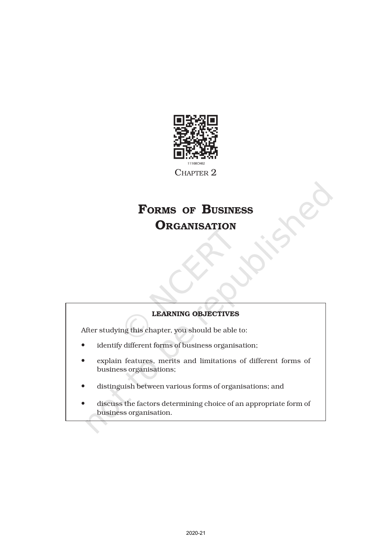

CHAPTER<sub>2</sub>

# FORMS OF BUSINESS **ORGANISATION**

# LEARNING OBJECTIVES

After studying this chapter, you should be able to:

- identify different forms of business organisation;
- explain features, merits and limitations of different forms of business organisations;
- distinguish between various forms of organisations; and
- discuss the factors determining choice of an appropriate form of business organisation.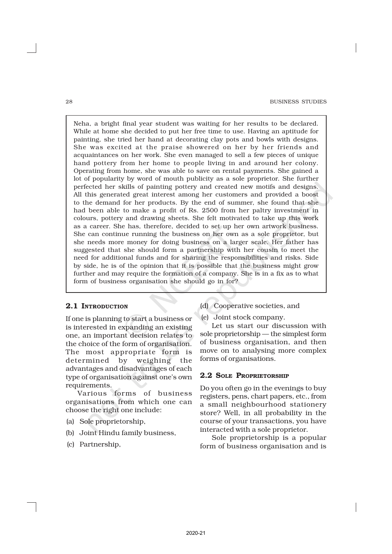Neha, a bright final year student was waiting for her results to be declared. While at home she decided to put her free time to use. Having an aptitude for painting, she tried her hand at decorating clay pots and bowls with designs. She was excited at the praise showered on her by her friends and acquaintances on her work. She even managed to sell a few pieces of unique hand pottery from her home to people living in and around her colony. Operating from home, she was able to save on rental payments. She gained a lot of popularity by word of mouth publicity as a sole proprietor. She further perfected her skills of painting pottery and created new motifs and designs. All this generated great interest among her customers and provided a boost to the demand for her products. By the end of summer, she found that she had been able to make a profit of Rs. 2500 from her paltry investment in colours, pottery and drawing sheets. She felt motivated to take up this work as a career. She has, therefore, decided to set up her own artwork business. She can continue running the business on her own as a sole proprietor, but she needs more money for doing business on a larger scale. Her father has suggested that she should form a partnership with her cousin to meet the need for additional funds and for sharing the responsibilities and risks. Side by side, he is of the opinion that it is possible that the business might grow further and may require the formation of a company. She is in a fix as to what form of business organisation she should go in for?

### 2.1 INTRODUCTION

If one is planning to start a business or is interested in expanding an existing one, an important decision relates to the choice of the form of organisation. The most appropriate form is determined by weighing the advantages and disadvantages of each type of organisation against one's own requirements.

Various forms of business organisations from which one can choose the right one include:

- (a) Sole proprietorship,
- (b) Joint Hindu family business,
- (c) Partnership,
- (d) Cooperative societies, and
- (e) Joint stock company.

Let us start our discussion with sole proprietorship — the simplest form of business organisation, and then move on to analysing more complex forms of organisations.

### 2.2 SOLE PROPRIETORSHIP

Do you often go in the evenings to buy registers, pens, chart papers, etc., from a small neighbourhood stationery store? Well, in all probability in the course of your transactions, you have interacted with a sole proprietor.

Sole proprietorship is a popular form of business organisation and is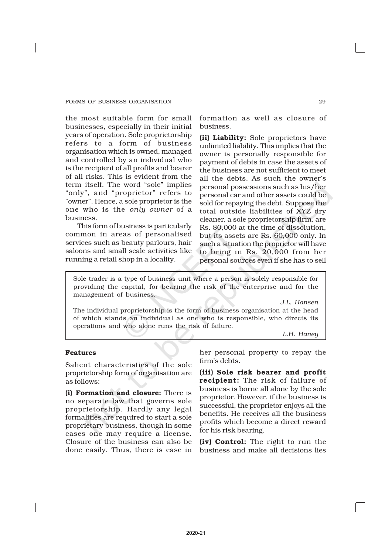the most suitable form for small businesses, especially in their initial years of operation. Sole proprietorship refers to a form of business organisation which is owned, managed and controlled by an individual who is the recipient of all profits and bearer of all risks. This is evident from the term itself. The word "sole" implies "only", and "proprietor" refers to "owner". Hence, a sole proprietor is the one who is the *only owner* of a business.

This form of business is particularly common in areas of personalised services such as beauty parlours, hair saloons and small scale activities like running a retail shop in a locality.

formation as well as closure of business.

(ii) Liability: Sole proprietors have unlimited liability. This implies that the owner is personally responsible for payment of debts in case the assets of the business are not sufficient to meet all the debts. As such the owner's personal possessions such as his/her personal car and other assets could be sold for repaying the debt. Suppose the total outside liabilities of XYZ dry cleaner, a sole proprietorship firm, are Rs. 80,000 at the time of dissolution, but its assets are Rs. 60,000 only. In such a situation the proprietor will have to bring in Rs. 20,000 from her personal sources even if she has to sell

Sole trader is a type of business unit where a person is solely responsible for providing the capital, for bearing the risk of the enterprise and for the management of business.

*J.L. Hansen*

The individual proprietorship is the form of business organisation at the head of which stands an individual as one who is responsible, who directs its operations and who alone runs the risk of failure.

*L.H. Haney*

#### Features

Salient characteristics of the sole proprietorship form of organisation are as follows:

(i) Formation and closure: There is no separate law that governs sole proprietorship. Hardly any legal formalities are required to start a sole proprietary business, though in some cases one may require a license. Closure of the business can also be done easily. Thus, there is ease in her personal property to repay the firm's debts.

(iii) Sole risk bearer and profit recipient: The risk of failure of business is borne all alone by the sole proprietor. However, if the business is successful, the proprietor enjoys all the benefits. He receives all the business profits which become a direct reward for his risk bearing.

(iv) Control: The right to run the business and make all decisions lies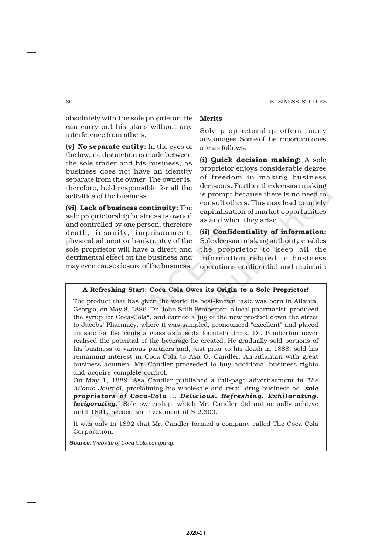absolutely with the sole proprietor. He can carry out his plans without any interference from others.

(v) No separate entity: In the eyes of the law, no distinction is made between the sole trader and his business, as business does not have an identity separate from the owner. The owner is, therefore, held responsible for all the activities of the business.

(vi) Lack of business continuity: The sale proprietorship business is owned and controlled by one person, therefore death, insanity, imprisonment, physical ailment or bankruptcy of the sole proprietor will have a direct and detrimental effect on the business and may even cause closure of the business.

### Merits

Sole proprietorship offers many advantages. Some of the important ones are as follows:

(i) Quick decision making: A sole proprietor enjoys considerable degree of freedom in making business decisions. Further the decision making is prompt because there is no need to consult others. This may lead to timely capitalisation of market opportunities as and when they arise.

(ii) Confidentiality of information: Sole decision making authority enables the proprietor to keep all the information related to business operations confidential and maintain

#### A Refreshing Start: Coca Cola Owes its Origin to a Sole Proprietor!

The product that has given the world its best-known taste was born in Atlanta, Georgia, on May 8, 1886. Dr. John Stith Pemberton, a local pharmacist, produced the syrup for Coca-Cola® , and carried a jug of the new product down the street to Jacobs' Pharmacy, where it was sampled, pronounced "excellent" and placed on sale for five cents a glass as a soda fountain drink. Dr. Pemberton never realised the potential of the beverage he created. He gradually sold portions of his business to various partners and, just prior to his death in 1888, sold his remaining interest in Coca-Cola to Asa G. Candler. An Atlantan with great business acumen, Mr. Candler proceeded to buy additional business rights and acquire complete control.

On May 1, 1889, Asa Candler published a full-page advertisement in *The Atlanta Journal*, proclaiming his wholesale and retail drug business as *"sole proprietors of Coca-Cola ... Delicious. Refreshing. Exhilarating. Invigorating."* Sole ownership, which Mr. Candler did not actually achieve until 1891, needed an investment of \$ 2,300.

It was only in 1892 that Mr. Candler formed a company called The Coca-Cola Corporation.

*Source: Website of Coca Cola company.*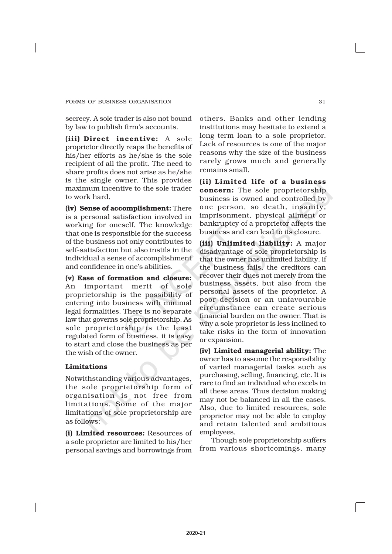secrecy. A sole trader is also not bound by law to publish firm's accounts.

(iii) Direct incentive: A sole proprietor directly reaps the benefits of his/her efforts as he/she is the sole recipient of all the profit. The need to share profits does not arise as he/she is the single owner. This provides maximum incentive to the sole trader to work hard.

(iv) Sense of accomplishment: There is a personal satisfaction involved in working for oneself. The knowledge that one is responsible for the success of the business not only contributes to self-satisfaction but also instils in the individual a sense of accomplishment and confidence in one's abilities.

(v) Ease of formation and closure: An important merit of sole proprietorship is the possibility of entering into business with minimal legal formalities. There is no separate law that governs sole proprietorship. As sole proprietorship is the least regulated form of business, it is easy to start and close the business as per the wish of the owner.

# Limitations

Notwithstanding various advantages, the sole proprietorship form of organisation is not free from limitations. Some of the major limitations of sole proprietorship are as follows:

(i) Limited resources: Resources of a sole proprietor are limited to his/her personal savings and borrowings from

others. Banks and other lending institutions may hesitate to extend a long term loan to a sole proprietor. Lack of resources is one of the major reasons why the size of the business rarely grows much and generally remains small.

(ii) Limited life of a business concern: The sole proprietorship business is owned and controlled by one person, so death, insanity, imprisonment, physical ailment or bankruptcy of a proprietor affects the business and can lead to its closure.

(iii) Unlimited liability: A major disadvantage of sole proprietorship is that the owner has unlimited liability. If the business fails, the creditors can recover their dues not merely from the business assets, but also from the personal assets of the proprietor. A poor decision or an unfavourable circumstance can create serious financial burden on the owner. That is why a sole proprietor is less inclined to take risks in the form of innovation or expansion.

(iv) Limited managerial ability: The owner has to assume the responsibility of varied managerial tasks such as purchasing, selling, financing, etc. It is rare to find an individual who excels in all these areas. Thus decision making may not be balanced in all the cases. Also, due to limited resources, sole proprietor may not be able to employ and retain talented and ambitious employees.

Though sole proprietorship suffers from various shortcomings, many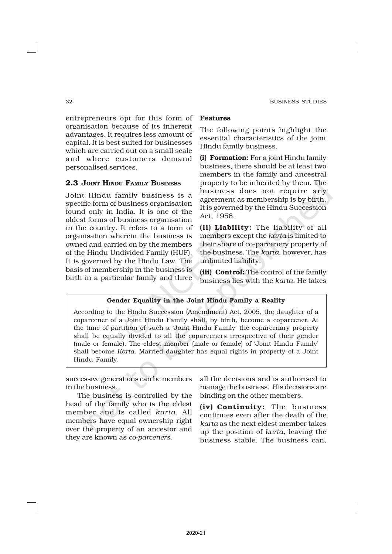entrepreneurs opt for this form of organisation because of its inherent advantages. It requires less amount of capital. It is best suited for businesses which are carried out on a small scale and where customers demand personalised services.

# 2.3 JOINT HINDU FAMILY BUSINESS

Joint Hindu family business is a specific form of business organisation found only in India. It is one of the oldest forms of business organisation in the country. It refers to a form of organisation wherein the business is owned and carried on by the members of the Hindu Undivided Family (HUF). It is governed by the Hindu Law. The basis of membership in the business is birth in a particular family and three

# Features

The following points highlight the essential characteristics of the joint Hindu family business.

(i) Formation: For a joint Hindu family business, there should be at least two members in the family and ancestral property to be inherited by them. The business does not require any agreement as membership is by birth. It is governed by the Hindu Succession Act, 1956.

(ii) Liability: The liability of all members except the *karta* is limited to their share of co-parcenery property of the business. The *karta*, however, has unlimited liability.

(iii) Control: The control of the family business lies with the *karta*. He takes

### Gender Equality in the Joint Hindu Family a Reality

According to the Hindu Succession (Amendment) Act, 2005, the daughter of a coparcener of a Joint Hindu Family shall, by birth, become a coparcener. At the time of partition of such a 'Joint Hindu Family' the coparcenary property shall be equally divided to all the coparceners irrespective of their gender (male or female). The eldest member (male or female) of 'Joint Hindu Family' shall become *Karta*. Married daughter has equal rights in property of a Joint Hindu Family.

successive generations can be members in the business.

The business is controlled by the head of the family who is the eldest member and is called *karta*. All members have equal ownership right over the property of an ancestor and they are known as *co-parceners*.

all the decisions and is authorised to manage the business. His decisions are binding on the other members.

(iv) Continuity: The business continues even after the death of the *karta* as the next eldest member takes up the position of *karta*, leaving the business stable. The business can,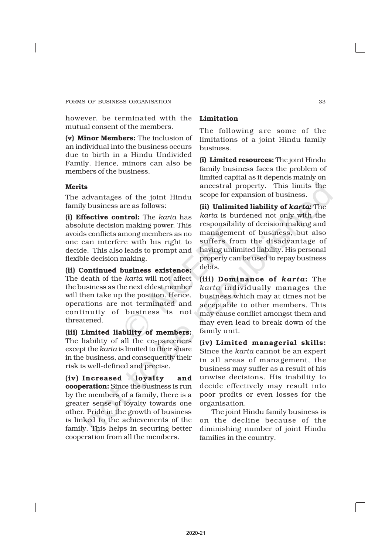however, be terminated with the mutual consent of the members.

(v) Minor Members: The inclusion of an individual into the business occurs due to birth in a Hindu Undivided Family. Hence, minors can also be members of the business.

### Merits

The advantages of the joint Hindu family business are as follows:

(i) Effective control: The *karta* has absolute decision making power. This avoids conflicts among members as no one can interfere with his right to decide. This also leads to prompt and flexible decision making.

(ii) Continued business existence: The death of the *karta* will not affect the business as the next eldest member will then take up the position. Hence, operations are not terminated and continuity of business is not threatened.

(iii) Limited liability of members: The liability of all the co-parceners except the *karta* is limited to their share in the business, and consequently their risk is well-defined and precise.

(iv) Increased loyalty and cooperation: Since the business is run by the members of a family, there is a greater sense of loyalty towards one other. Pride in the growth of business is linked to the achievements of the family. This helps in securing better cooperation from all the members.

# Limitation

The following are some of the limitations of a joint Hindu family business.

(i) Limited resources: The joint Hindu family business faces the problem of limited capital as it depends mainly on ancestral property. This limits the scope for expansion of business.

(ii) Unlimited liability of *karta*: The *karta* is burdened not only with the responsibility of decision making and management of business, but also suffers from the disadvantage of having unlimited liability. His personal property can be used to repay business debts.

(iii) Dominance of *karta*: The *karta* individually manages the business which may at times not be acceptable to other members. This may cause conflict amongst them and may even lead to break down of the family unit.

(iv) Limited managerial skills: Since the *karta* cannot be an expert in all areas of management, the business may suffer as a result of his unwise decisions. His inability to decide effectively may result into poor profits or even losses for the organisation.

The joint Hindu family business is on the decline because of the diminishing number of joint Hindu families in the country.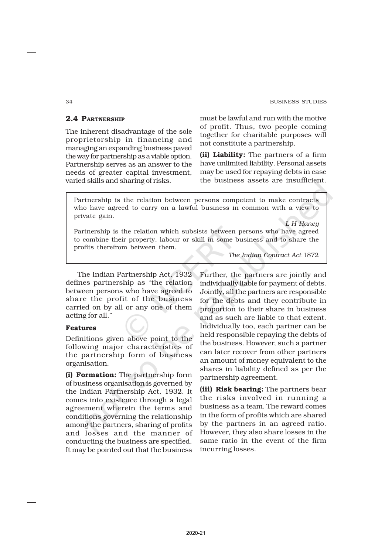#### 34 BUSINESS STUDIES

# 2.4 PARTNERSHIP

The inherent disadvantage of the sole proprietorship in financing and managing an expanding business paved the way for partnership as a viable option. Partnership serves as an answer to the needs of greater capital investment, varied skills and sharing of risks.

must be lawful and run with the motive of profit. Thus, two people coming together for charitable purposes will not constitute a partnership.

(ii) Liability: The partners of a firm have unlimited liability. Personal assets may be used for repaying debts in case the business assets are insufficient.

Partnership is the relation between persons competent to make contracts who have agreed to carry on a lawful business in common with a view to private gain.

*L H Haney* Partnership is the relation which subsists between persons who have agreed to combine their property, labour or skill in some business and to share the profits therefrom between them.

*The Indian Contract Act* 1872

The Indian Partnership Act, 1932 defines partnership as "the relation between persons who have agreed to share the profit of the business carried on by all or any one of them acting for all."

### Features

Definitions given above point to the following major characteristics of the partnership form of business organisation.

(i) Formation: The partnership form of business organisation is governed by the Indian Partnership Act, 1932. It comes into existence through a legal agreement wherein the terms and conditions governing the relationship among the partners, sharing of profits and losses and the manner of conducting the business are specified. It may be pointed out that the business

Further, the partners are jointly and individually liable for payment of debts. Jointly, all the partners are responsible for the debts and they contribute in proportion to their share in business and as such are liable to that extent. Individually too, each partner can be held responsible repaying the debts of the business. However, such a partner can later recover from other partners an amount of money equivalent to the shares in liability defined as per the partnership agreement.

(iii) Risk bearing: The partners bear the risks involved in running a business as a team. The reward comes in the form of profits which are shared by the partners in an agreed ratio. However, they also share losses in the same ratio in the event of the firm incurring losses.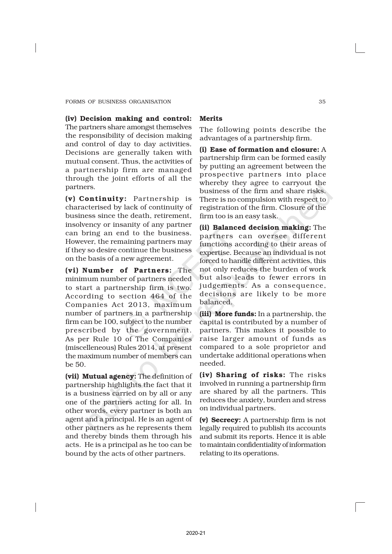### (iv) Decision making and control:

The partners share amongst themselves the responsibility of decision making and control of day to day activities. Decisions are generally taken with mutual consent. Thus, the activities of a partnership firm are managed through the joint efforts of all the partners.

(v) Continuity: Partnership is characterised by lack of continuity of business since the death, retirement, insolvency or insanity of any partner can bring an end to the business. However, the remaining partners may if they so desire continue the business on the basis of a new agreement.

(vi) Number of Partners: The minimum number of partners needed to start a partnership firm is two. According to section 464 of the Companies Act 2013, maximum number of partners in a partnership firm can be 100, subject to the number prescribed by the government. As per Rule 10 of The Companies (miscelleneous) Rules 2014, at present the maximum number of members can be 50.

(vii) Mutual agency: The definition of partnership highlights the fact that it is a business carried on by all or any one of the partners acting for all. In other words, every partner is both an agent and a principal. He is an agent of other partners as he represents them and thereby binds them through his acts. He is a principal as he too can be bound by the acts of other partners.

# Merits

The following points describe the advantages of a partnership firm.

(i) Ease of formation and closure: A partnership firm can be formed easily by putting an agreement between the prospective partners into place whereby they agree to carryout the business of the firm and share risks. There is no compulsion with respect to registration of the firm. Closure of the firm too is an easy task.

(ii) Balanced decision making: The partners can oversee different functions according to their areas of expertise. Because an individual is not forced to handle different activities, this not only reduces the burden of work but also leads to fewer errors in judgements. As a consequence, decisions are likely to be more balanced.

(iii) More funds: In a partnership, the capital is contributed by a number of partners. This makes it possible to raise larger amount of funds as compared to a sole proprietor and undertake additional operations when needed.

(iv) Sharing of risks: The risks involved in running a partnership firm are shared by all the partners. This reduces the anxiety, burden and stress on individual partners.

(v) Secrecy: A partnership firm is not legally required to publish its accounts and submit its reports. Hence it is able to maintain confidentiality of information relating to its operations.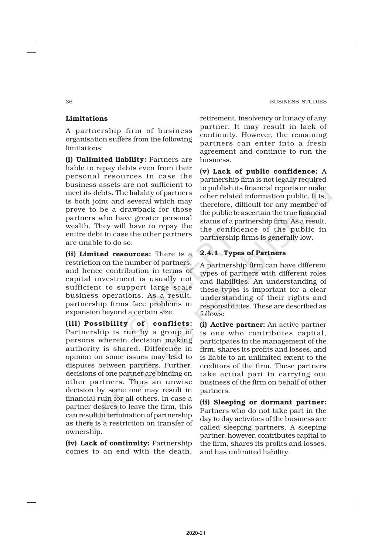# Limitations

A partnership firm of business organisation suffers from the following limitations:

(i) Unlimited liability: Partners are liable to repay debts even from their personal resources in case the business assets are not sufficient to meet its debts. The liability of partners is both joint and several which may prove to be a drawback for those partners who have greater personal wealth. They will have to repay the entire debt in case the other partners are unable to do so.

(ii) Limited resources: There is a restriction on the number of partners, and hence contribution in terms of capital investment is usually not sufficient to support large scale business operations. As a result, partnership firms face problems in expansion beyond a certain size.

(iii) Possibility of conflicts: Partnership is run by a group of persons wherein decision making authority is shared. Difference in opinion on some issues may lead to disputes between partners. Further, decisions of one partner are binding on other partners. Thus an unwise decision by some one may result in financial ruin for all others. In case a partner desires to leave the firm, this can result in termination of partnership as there is a restriction on transfer of ownership.

(iv) Lack of continuity: Partnership comes to an end with the death, retirement, insolvency or lunacy of any partner. It may result in lack of continuity. However, the remaining partners can enter into a fresh agreement and continue to run the business.

(v) Lack of public confidence: A partnership firm is not legally required to publish its financial reports or make other related information public. It is, therefore, difficult for any member of the public to ascertain the true financial status of a partnership firm. As a result, the confidence of the public in partnership firms is generally low.

# 2.4.1 Types of Partners

A partnership firm can have different types of partners with different roles and liabilities. An understanding of these types is important for a clear understanding of their rights and responsibilities. These are described as follows:

(i) Active partner: An active partner is one who contributes capital, participates in the management of the firm, shares its profits and losses, and is liable to an unlimited extent to the creditors of the firm. These partners take actual part in carrying out business of the firm on behalf of other partners.

(ii) Sleeping or dormant partner: Partners who do not take part in the day to day activities of the business are called sleeping partners. A sleeping partner, however, contributes capital to the firm, shares its profits and losses, and has unlimited liability.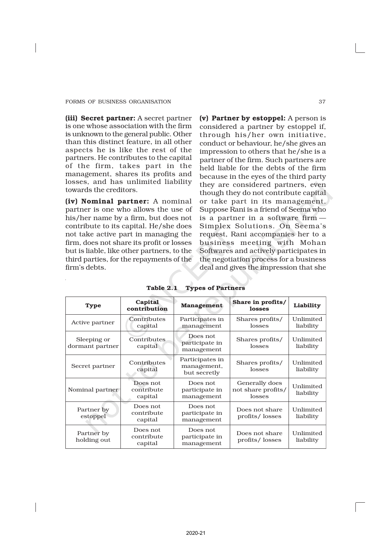(iii) Secret partner: A secret partner is one whose association with the firm is unknown to the general public. Other than this distinct feature, in all other aspects he is like the rest of the partners. He contributes to the capital of the firm, takes part in the management, shares its profits and losses, and has unlimited liability towards the creditors.

(iv) Nominal partner: A nominal partner is one who allows the use of his/her name by a firm, but does not contribute to its capital. He/she does not take active part in managing the firm, does not share its profit or losses but is liable, like other partners, to the third parties, for the repayments of the firm's debts.

(v) Partner by estoppel: A person is considered a partner by estoppel if, through his/her own initiative, conduct or behaviour, he/she gives an impression to others that he/she is a partner of the firm. Such partners are held liable for the debts of the firm because in the eyes of the third party they are considered partners, even though they do not contribute capital or take part in its management. Suppose Rani is a friend of Seema who is a partner in a software firm — Simplex Solutions. On Seema's request, Rani accompanies her to a business meeting with Mohan Softwares and actively participates in the negotiation process for a business deal and gives the impression that she

| Type                           | Capital<br>contribution           | Management                                     | Share in profits/<br>losses                    | Liability              |
|--------------------------------|-----------------------------------|------------------------------------------------|------------------------------------------------|------------------------|
| Active partner                 | Contributes<br>capital            | Participates in<br>management                  | Shares profits/<br>losses                      | Unlimited<br>liability |
| Sleeping or<br>dormant partner | Contributes<br>capital            | Does not<br>participate in<br>management       | Shares profits/<br>losses                      | Unlimited<br>liability |
| Secret partner                 | Contributes<br>capital            | Participates in<br>management,<br>but secretly | Shares profits/<br>losses                      | Unlimited<br>liability |
| Nominal partner                | Does not<br>contribute<br>capital | Does not<br>participate in<br>management       | Generally does<br>not share profits/<br>losses | Unlimited<br>liability |
| Partner by<br>estoppel         | Does not<br>contribute<br>capital | Does not<br>participate in<br>management       | Does not share<br>profits/losses               | Unlimited<br>liability |
| Partner by<br>holding out      | Does not<br>contribute<br>capital | Does not<br>participate in<br>management       | Does not share<br>profits/losses               | Unlimited<br>liability |

Table 2.1 Types of Partners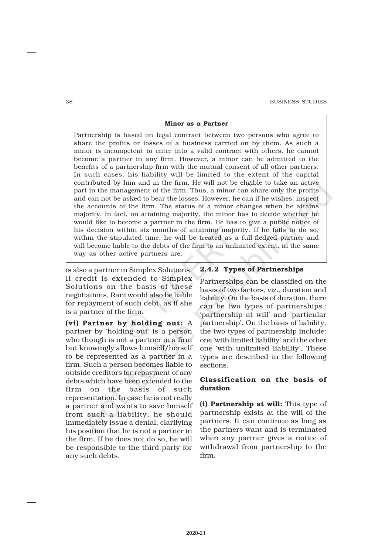#### Minor as a Partner

Partnership is based on legal contract between two persons who agree to share the profits or losses of a business carried on by them. As such a minor is incompetent to enter into a valid contract with others, he cannot become a partner in any firm. However, a minor can be admitted to the benefits of a partnership firm with the mutual consent of all other partners. In such cases, his liability will be limited to the extent of the capital contributed by him and in the firm. He will not be eligible to take an active part in the management of the firm. Thus, a minor can share only the profits and can not be asked to bear the losses. However, he can if he wishes, inspect the accounts of the firm. The status of a minor changes when he attains majority. In fact, on attaining majority, the minor has to decide whether he would like to become a partner in the firm. He has to give a public notice of his decision within six months of attaining majority. If he fails to do so, within the stipulated time, he will be treated as a full-fledged partner and will become liable to the debts of the firm to an unlimited extent, in the same way as other active partners are.

is also a partner in Simplex Solutions. If credit is extended to Simplex Solutions on the basis of these negotiations, Rani would also be liable for repayment of such debt, as if she is a partner of the firm.

(vi) Partner by holding out: A partner by 'holding out' is a person who though is not a partner in a firm but knowingly allows himself/herself to be represented as a partner in a firm. Such a person becomes liable to outside creditors for repayment of any debts which have been extended to the firm on the basis of such representation. In case he is not really a partner and wants to save himself from such a liability, he should immediately issue a denial, clarifying his position that he is not a partner in the firm. If he does not do so, he will be responsible to the third party for any such debts.

### 2.4.2 Types of Partnerships

Partnerships can be classified on the basis of two factors, viz., duration and liability. On the basis of duration, there can be two types of partnerships : 'partnership at will' and 'particular partnership'. On the basis of liability, the two types of partnership include: one 'with limited liability' and the other one 'with unlimited liability'. These types are described in the following sections.

# Classification on the basis of duration

(i) Partnership at will: This type of partnership exists at the will of the partners. It can continue as long as the partners want and is terminated when any partner gives a notice of withdrawal from partnership to the firm.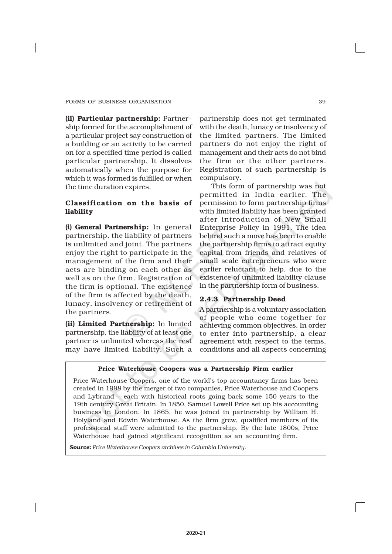(ii) Particular partnership: Partnership formed for the accomplishment of a particular project say construction of a building or an activity to be carried on for a specified time period is called particular partnership. It dissolves automatically when the purpose for which it was formed is fulfilled or when the time duration expires.

# Classification on the basis of liability

(i) General Partnership: In general partnership, the liability of partners is unlimited and joint. The partners enjoy the right to participate in the management of the firm and their acts are binding on each other as well as on the firm. Registration of the firm is optional. The existence of the firm is affected by the death, lunacy, insolvency or retirement of the partners.

(ii) Limited Partnership: In limited partnership, the liability of at least one partner is unlimited whereas the rest may have limited liability. Such a

partnership does not get terminated with the death, lunacy or insolvency of the limited partners. The limited partners do not enjoy the right of management and their acts do not bind the firm or the other partners. Registration of such partnership is compulsory.

This form of partnership was not permitted in India earlier. The permission to form partnership firms with limited liability has been granted after introduction of New Small Enterprise Policy in 1991. The idea behind such a move has been to enable the partnership firms to attract equity capital from friends and relatives of small scale entrepreneurs who were earlier reluctant to help, due to the existence of unlimited liability clause in the partnership form of business.

# 2.4.3 Partnership Deed

A partnership is a voluntary association of people who come together for achieving common objectives. In order to enter into partnership, a clear agreement with respect to the terms, conditions and all aspects concerning

# Price Waterhouse Coopers was a Partnership Firm earlier

Price Waterhouse Coopers, one of the world's top accountancy firms has been created in 1998 by the merger of two companies, Price Waterhouse and Coopers and Lybrand — each with historical roots going back some 150 years to the 19th century Great Britain. In 1850, Samuel Lowell Price set up his accounting business in London. In 1865, he was joined in partnership by William H. Holyland and Edwin Waterhouse. As the firm grew, qualified members of its professional staff were admitted to the partnership. By the late 1800s, Price Waterhouse had gained significant recognition as an accounting firm.

*Source: Price Waterhouse Coopers archives in Columbia University.*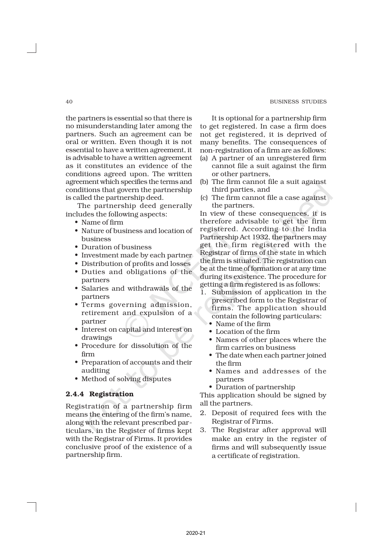the partners is essential so that there is no misunderstanding later among the partners. Such an agreement can be oral or written. Even though it is not essential to have a written agreement, it is advisable to have a written agreement as it constitutes an evidence of the conditions agreed upon. The written agreement which specifies the terms and conditions that govern the partnership is called the partnership deed.

The partnership deed generally includes the following aspects:

- Name of firm
- Nature of business and location of business
- Duration of business
- Investment made by each partner
- Distribution of profits and losses
- Duties and obligations of the partners
- Salaries and withdrawals of the partners
- Terms governing admission, retirement and expulsion of a partner
- Interest on capital and interest on drawings
- Procedure for dissolution of the firm
- Preparation of accounts and their auditing
- Method of solving disputes

# 2.4.4 Registration

Registration of a partnership firm means the entering of the firm's name, along with the relevant prescribed particulars, in the Register of firms kept with the Registrar of Firms. It provides conclusive proof of the existence of a partnership firm.

It is optional for a partnership firm to get registered. In case a firm does not get registered, it is deprived of many benefits. The consequences of non-registration of a firm are as follows:

- (a) A partner of an unregistered firm cannot file a suit against the firm or other partners,
- (b) The firm cannot file a suit against third parties, and
- (c) The firm cannot file a case against the partners.

In view of these consequences, it is therefore advisable to get the firm registered. According to the India Partnership Act 1932, the partners may get the firm registered with the Registrar of firms of the state in which the firm is situated. The registration can be at the time of formation or at any time during its existence. The procedure for getting a firm registered is as follows:

- 1. Submission of application in the prescribed form to the Registrar of firms. The application should contain the following particulars:
	- Name of the firm
	- Location of the firm
	- Names of other places where the firm carries on business
	- The date when each partner joined the firm
	- Names and addresses of the partners
	- Duration of partnership

This application should be signed by all the partners.

- 2. Deposit of required fees with the Registrar of Firms.
- 3. The Registrar after approval will make an entry in the register of firms and will subsequently issue a certificate of registration.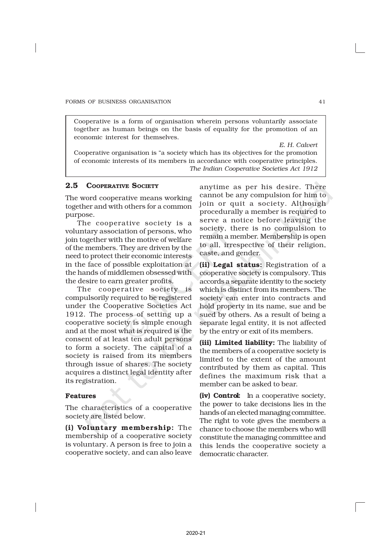Cooperative is a form of organisation wherein persons voluntarily associate together as human beings on the basis of equality for the promotion of an economic interest for themselves.

*E. H. Calvert*

Cooperative organisation is "a society which has its objectives for the promotion of economic interests of its members in accordance with cooperative principles. *The Indian Cooperative Societies Act 1912*

# 2.5 COOPERATIVE SOCIETY

The word cooperative means working together and with others for a common purpose.

The cooperative society is a voluntary association of persons, who join together with the motive of welfare of the members. They are driven by the need to protect their economic interests in the face of possible exploitation at the hands of middlemen obsessed with the desire to earn greater profits.

The cooperative society is compulsorily required to be registered under the Cooperative Societies Act 1912. The process of setting up a cooperative society is simple enough and at the most what is required is the consent of at least ten adult persons to form a society. The capital of a society is raised from its members through issue of shares. The society acquires a distinct legal identity after its registration.

### Features

The characteristics of a cooperative society are listed below.

(i) Voluntary membership: The membership of a cooperative society is voluntary. A person is free to join a cooperative society, and can also leave

anytime as per his desire. There cannot be any compulsion for him to join or quit a society. Although procedurally a member is required to serve a notice before leaving the society, there is no compulsion to remain a member. Membership is open to all, irrespective of their religion, caste, and gender.

(ii) Legal status: Registration of a cooperative society is compulsory. This accords a separate identity to the society which is distinct from its members. The society can enter into contracts and hold property in its name, sue and be sued by others. As a result of being a separate legal entity, it is not affected by the entry or exit of its members.

(iii) Limited liability: The liability of the members of a cooperative society is limited to the extent of the amount contributed by them as capital. This defines the maximum risk that a member can be asked to bear.

(iv) Control: In a cooperative society, the power to take decisions lies in the hands of an elected managing committee. The right to vote gives the members a chance to choose the members who will constitute the managing committee and this lends the cooperative society a democratic character.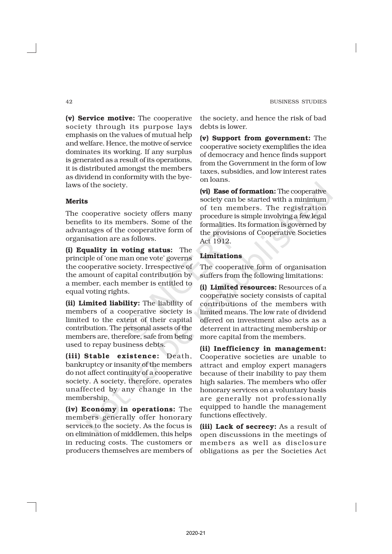(v) Service motive: The cooperative society through its purpose lays emphasis on the values of mutual help and welfare. Hence, the motive of service dominates its working. If any surplus is generated as a result of its operations, it is distributed amongst the members as dividend in conformity with the byelaws of the society.

### Merits

The cooperative society offers many benefits to its members. Some of the advantages of the cooperative form of organisation are as follows.

(i) Equality in voting status: The principle of 'one man one vote' governs the cooperative society. Irrespective of the amount of capital contribution by a member, each member is entitled to equal voting rights.

(ii) Limited liability: The liability of members of a cooperative society is limited to the extent of their capital contribution. The personal assets of the members are, therefore, safe from being used to repay business debts.

(iii) Stable existence: Death, bankruptcy or insanity of the members do not affect continuity of a cooperative society. A society, therefore, operates unaffected by any change in the membership.

(iv) Economy in operations: The members generally offer honorary services to the society. As the focus is on elimination of middlemen, this helps in reducing costs. The customers or producers themselves are members of the society, and hence the risk of bad debts is lower.

(v) Support from government: The cooperative society exemplifies the idea of democracy and hence finds support from the Government in the form of low taxes, subsidies, and low interest rates on loans.

(vi) Ease of formation: The cooperative society can be started with a minimum of ten members. The registration procedure is simple involving a few legal formalities. Its formation is governed by the provisions of Cooperative Societies Act 1912.

### Limitations

The cooperative form of organisation suffers from the following limitations:

(i) Limited resources: Resources of a cooperative society consists of capital contributions of the members with limited means. The low rate of dividend offered on investment also acts as a deterrent in attracting membership or more capital from the members.

(ii) Inefficiency in management: Cooperative societies are unable to attract and employ expert managers because of their inability to pay them high salaries. The members who offer honorary services on a voluntary basis are generally not professionally equipped to handle the management functions effectively.

(iii) Lack of secrecy: As a result of open discussions in the meetings of members as well as disclosure obligations as per the Societies Act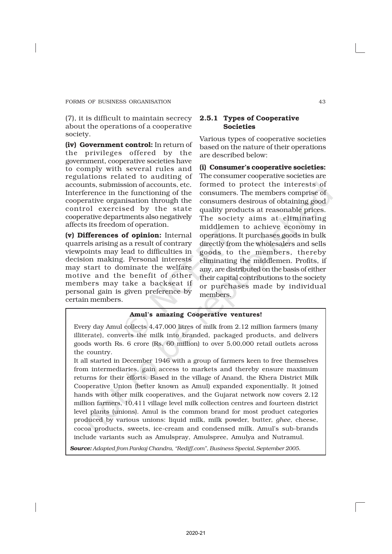(7), it is difficult to maintain secrecy about the operations of a cooperative society.

(iv) Government control: In return of the privileges offered by the government, cooperative societies have to comply with several rules and regulations related to auditing of accounts, submission of accounts, etc. Interference in the functioning of the cooperative organisation through the control exercised by the state cooperative departments also negatively affects its freedom of operation.

(v) Differences of opinion: Internal quarrels arising as a result of contrary viewpoints may lead to difficulties in decision making. Personal interests may start to dominate the welfare motive and the benefit of other members may take a backseat if personal gain is given preference by certain members.

# 2.5.1 Types of Cooperative Societies

Various types of cooperative societies based on the nature of their operations are described below:

(i) Consumer's cooperative societies: The consumer cooperative societies are formed to protect the interests of consumers. The members comprise of consumers desirous of obtaining good quality products at reasonable prices. The society aims at eliminating middlemen to achieve economy in operations. It purchases goods in bulk directly from the wholesalers and sells goods to the members, thereby eliminating the middlemen. Profits, if any, are distributed on the basis of either their capital contributions to the society or purchases made by individual members.

# Amul's amazing Cooperative ventures!

Every day Amul collects 4,47,000 litres of milk from 2.12 million farmers (many illiterate), converts the milk into branded, packaged products, and delivers goods worth Rs. 6 crore (Rs. 60 million) to over 5,00,000 retail outlets across the country.

It all started in December 1946 with a group of farmers keen to free themselves from intermediaries, gain access to markets and thereby ensure maximum returns for their efforts. Based in the village of Anand, the Khera District Milk Cooperative Union (better known as Amul) expanded exponentially. It joined hands with other milk cooperatives, and the Gujarat network now covers 2.12 million farmers, 10,411 village level milk collection centres and fourteen district level plants (unions). Amul is the common brand for most product categories produced by various unions: liquid milk, milk powder, butter, *ghee*, cheese, cocoa products, sweets, ice-cream and condensed milk. Amul's sub-brands include variants such as Amulspray, Amulspree, Amulya and Nutramul.

*Source: Adapted from Pankaj Chandra, "Rediff.com", Business Special, September 2005.*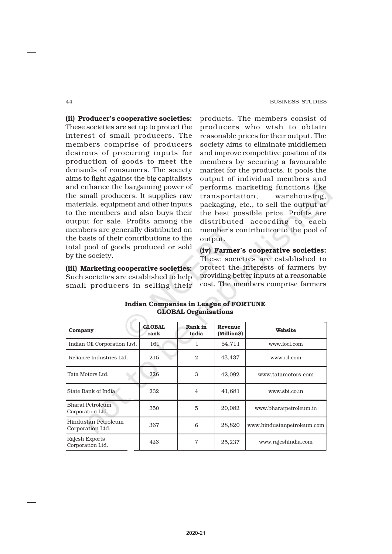(ii) Producer's cooperative societies: These societies are set up to protect the interest of small producers. The members comprise of producers desirous of procuring inputs for production of goods to meet the demands of consumers. The society aims to fight against the big capitalists and enhance the bargaining power of the small producers. It supplies raw materials, equipment and other inputs to the members and also buys their output for sale. Profits among the members are generally distributed on the basis of their contributions to the total pool of goods produced or sold by the society.

producers who wish to obtain reasonable prices for their output. The society aims to eliminate middlemen and improve competitive position of its members by securing a favourable market for the products. It pools the output of individual members and performs marketing functions like transportation, warehousing, packaging, etc., to sell the output at the best possible price. Profits are distributed according to each member's contribution to the pool of output.

products. The members consist of

(iii) Marketing cooperative societies: Such societies are established to help small producers in selling their

(iv) Farmer's cooperative societies: These societies are established to protect the interests of farmers by providing better inputs at a reasonable cost. The members comprise farmers

| Company                                 | <b>GLOBAL</b><br>rank | Rank in<br>India | Revenue<br>(Million\$) | Website                    |
|-----------------------------------------|-----------------------|------------------|------------------------|----------------------------|
| Indian Oil Corporation Ltd.             | 161                   |                  | 54,711                 | www.jocl.com               |
| Reliance Industries Ltd.                | 215                   | $\mathbf{2}$     | 43.437                 | www.ril.com                |
| Tata Motors Ltd.                        | 226                   | 3                | 42,092                 | www.tatamotors.com         |
| State Bank of India                     | 232                   | $\overline{4}$   | 41.681                 | www.sbi.co.in              |
| Bharat Petroleum<br>Corporation Ltd.    | 350                   | 5                | 20.082                 | www.bharatpetroleum.in     |
| Hindustan Petroleum<br>Corporation Ltd. | 367                   | 6                | 28,820                 | www.hindustanpetroleum.com |
| Rajesh Exports<br>Corporation Ltd.      | 423                   | 7                | 25.237                 | www.rajeshindia.com        |

### Indian Companies in League of FORTUNE GLOBAL Organisations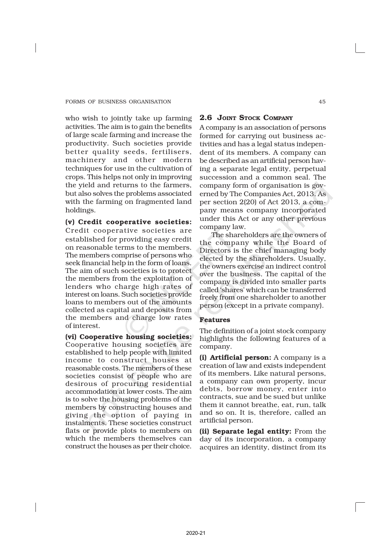who wish to jointly take up farming activities. The aim is to gain the benefits of large scale farming and increase the productivity. Such societies provide better quality seeds, fertilisers, machinery and other modern techniques for use in the cultivation of crops. This helps not only in improving the yield and returns to the farmers, but also solves the problems associated with the farming on fragmented land holdings.

(v) Credit cooperative societies: Credit cooperative societies are established for providing easy credit on reasonable terms to the members. The members comprise of persons who seek financial help in the form of loans. The aim of such societies is to protect the members from the exploitation of lenders who charge high rates of interest on loans. Such societies provide loans to members out of the amounts collected as capital and deposits from the members and charge low rates of interest.

(vi) Cooperative housing societies: Cooperative housing societies are established to help people with limited income to construct houses at reasonable costs. The members of these societies consist of people who are desirous of procuring residential accommodation at lower costs. The aim is to solve the housing problems of the members by constructing houses and giving the option of paying in instalments. These societies construct flats or provide plots to members on which the members themselves can construct the houses as per their choice.

### 2.6 JOINT STOCK COMPANY

A company is an association of persons formed for carrying out business activities and has a legal status independent of its members. A company can be described as an artificial person having a separate legal entity, perpetual succession and a common seal. The company form of organisation is governed by The Companies Act, 2013. As per section 2(20) of Act 2013, a company means company incorporated under this Act or any other previous company law.

The shareholders are the owners of the company while the Board of Directors is the chief managing body elected by the shareholders. Usually, the owners exercise an indirect control over the business. The capital of the company is divided into smaller parts called 'shares' which can be transferred freely from one shareholder to another person (except in a private company).

# Features

The definition of a joint stock company highlights the following features of a company.

(i) Artificial person: A company is a creation of law and exists independent of its members. Like natural persons, a company can own property, incur debts, borrow money, enter into contracts, sue and be sued but unlike them it cannot breathe, eat, run, talk and so on. It is, therefore, called an artificial person.

(ii) Separate legal entity: From the day of its incorporation, a company acquires an identity, distinct from its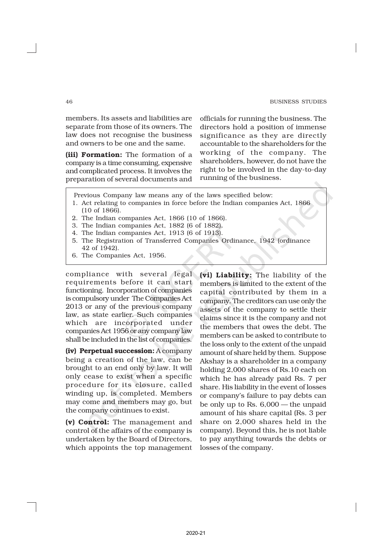members. Its assets and liabilities are separate from those of its owners. The law does not recognise the business and owners to be one and the same.

(iii) Formation: The formation of a company is a time consuming, expensive and complicated process. It involves the preparation of several documents and

officials for running the business. The directors hold a position of immense significance as they are directly accountable to the shareholders for the working of the company. The shareholders, however, do not have the right to be involved in the day-to-day running of the business.

Previous Company law means any of the laws specified below:

- 1. Act relating to companies in force before the Indian companies Act, 1866 (10 of 1866).
- 2. The Indian companies Act, 1866 (10 of 1866).
- 3. The Indian companies Act, 1882 (6 of 1882).
- 4. The Indian companies Act, 1913 (6 of 1913).
- 5. The Registration of Transferred Companies Ordinance, 1942 (ordinance 42 of 1942).
- 6. The Companies Act, 1956.

compliance with several legal requirements before it can start functioning. Incorporation of companies is compulsory under The Companies Act 2013 or any of the previous company law, as state earlier. Such companies which are incorporated under companies Act 1956 or any company law shall be included in the list of companies.

(iv) Perpetual succession: A company being a creation of the law, can be brought to an end only by law. It will only cease to exist when a specific procedure for its closure, called winding up, is completed. Members may come and members may go, but the company continues to exist.

(v) Control: The management and control of the affairs of the company is undertaken by the Board of Directors, which appoints the top management (vi) Liability: The liability of the members is limited to the extent of the capital contributed by them in a company. The creditors can use only the assets of the company to settle their claims since it is the company and not the members that owes the debt. The members can be asked to contribute to the loss only to the extent of the unpaid amount of share held by them. Suppose Akshay is a shareholder in a company holding 2,000 shares of Rs.10 each on which he has already paid Rs. 7 per share. His liability in the event of losses or company's failure to pay debts can be only up to Rs. 6,000 — the unpaid amount of his share capital (Rs. 3 per share on 2,000 shares held in the company). Beyond this, he is not liable to pay anything towards the debts or losses of the company.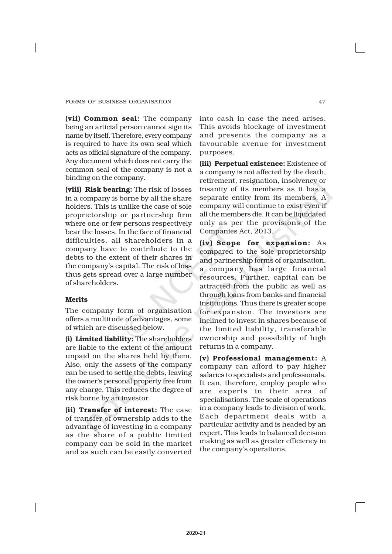(vii) Common seal: The company being an articial person cannot sign its name by itself. Therefore, every company is required to have its own seal which acts as official signature of the company. Any document which does not carry the common seal of the company is not a binding on the company.

(viii) Risk bearing: The risk of losses in a company is borne by all the share holders. This is unlike the case of sole proprietorship or partnership firm where one or few persons respectively bear the losses. In the face of financial difficulties, all shareholders in a company have to contribute to the debts to the extent of their shares in the company's capital. The risk of loss thus gets spread over a large number of shareholders.

### Merits

The company form of organisation offers a multitude of advantages, some of which are discussed below.

(i) Limited liability: The shareholders are liable to the extent of the amount unpaid on the shares held by them. Also, only the assets of the company can be used to settle the debts, leaving the owner's personal property free from any charge. This reduces the degree of risk borne by an investor.

(ii) Transfer of interest: The ease of transfer of ownership adds to the advantage of investing in a company as the share of a public limited company can be sold in the market and as such can be easily converted

into cash in case the need arises. This avoids blockage of investment and presents the company as a favourable avenue for investment purposes.

(iii) Perpetual existence: Existence of a company is not affected by the death, retirement, resignation, insolvency or insanity of its members as it has a separate entity from its members. A company will continue to exist even if all the members die. It can be liquidated only as per the provisions of the Companies Act, 2013.

(iv) Scope for expansion: As compared to the sole proprietorship and partnership forms of organisation, a company has large financial resources. Further, capital can be attracted from the public as well as through loans from banks and financial institutions. Thus there is greater scope for expansion. The investors are inclined to invest in shares because of the limited liability, transferable ownership and possibility of high returns in a company.

(v) Professional management: A company can afford to pay higher salaries to specialists and professionals. It can, therefore, employ people who are experts in their area of specialisations. The scale of operations in a company leads to division of work. Each department deals with a particular activity and is headed by an expert. This leads to balanced decision making as well as greater efficiency in the company's operations.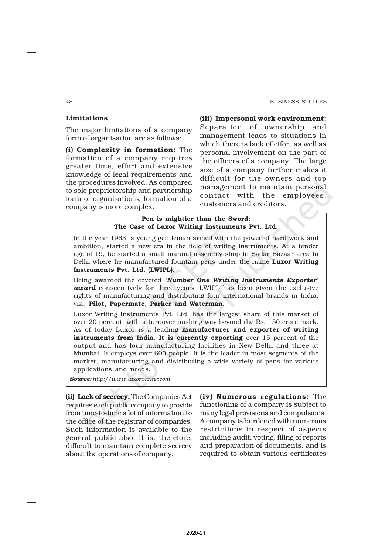#### 48 BUSINESS STUDIES

# Limitations

The major limitations of a company form of organisation are as follows:

(i) Complexity in formation: The formation of a company requires greater time, effort and extensive knowledge of legal requirements and the procedures involved. As compared to sole proprietorship and partnership form of organisations, formation of a company is more complex.

### (iii) Impersonal work environment:

Separation of ownership and management leads to situations in which there is lack of effort as well as personal involvement on the part of the officers of a company. The large size of a company further makes it difficult for the owners and top management to maintain personal contact with the employees, customers and creditors.

### Pen is mightier than the Sword: The Case of Luxor Writing Instruments Pvt. Ltd.

In the year 1963, a young gentleman armed with the power of hard work and ambition, started a new era in the field of writing instruments. At a tender age of 19, he started a small manual assembly shop in Sadar Bazaar area in Delhi where he manufactured fountain pens under the name Luxor Writing Instruments Pvt. Ltd. (LWIPL).

Being awarded the coveted '*Number One Writing Instruments Exporter' award* consecutively for three years, LWIPL has been given the exclusive rights of manufacturing and distributing four international brands in India, viz., Pilot, Papermate, Parker and Waterman.

Luxor Writing Instruments Pvt. Ltd. has the largest share of this market of over 20 percent, with a turnover pushing way beyond the Rs. 150 crore mark. As of today Luxor is a leading manufacturer and exporter of writing instruments from India. It is currently exporting over 15 percent of the output and has four manufacturing facilities in New Delhi and three at Mumbai. It employs over 600 people. It is the leader in most segments of the market, manufacturing and distributing a wide variety of pens for various applications and needs.

*Source: http://www.luxorparker.com*

(ii) Lack of secrecy: The Companies Act requires each public company to provide from time-to-time a lot of information to the office of the registrar of companies. Such information is available to the general public also. It is, therefore, difficult to maintain complete secrecy about the operations of company.

(iv) Numerous regulations: The functioning of a company is subject to many legal provisions and compulsions. A company is burdened with numerous restrictions in respect of aspects including audit, voting, filing of reports and preparation of documents, and is required to obtain various certificates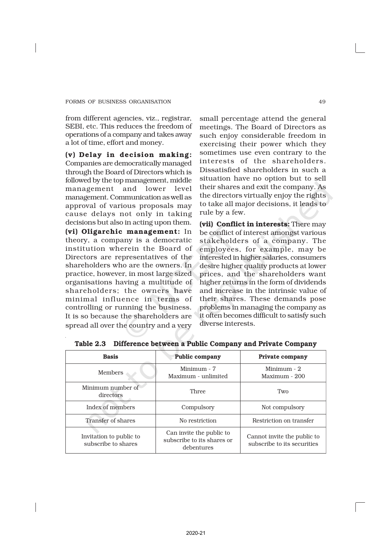from different agencies, viz., registrar, SEBI, etc. This reduces the freedom of operations of a company and takes away a lot of time, effort and money.

(v) Delay in decision making: Companies are democratically managed through the Board of Directors which is followed by the top management, middle management and lower level management. Communication as well as approval of various proposals may cause delays not only in taking decisions but also in acting upon them. (vi) Oligarchic management: In theory, a company is a democratic institution wherein the Board of Directors are representatives of the shareholders who are the owners. In practice, however, in most large sized organisations having a multitude of shareholders; the owners have minimal influence in terms of controlling or running the business. It is so because the shareholders are spread all over the country and a very

small percentage attend the general meetings. The Board of Directors as such enjoy considerable freedom in exercising their power which they sometimes use even contrary to the interests of the shareholders. Dissatisfied shareholders in such a situation have no option but to sell their shares and exit the company. As the directors virtually enjoy the rights to take all major decisions, it leads to rule by a few.

(vii) Conflict in interests: There may be conflict of interest amongst various stakeholders of a company. The employees, for example, may be interested in higher salaries, consumers desire higher quality products at lower prices, and the shareholders want higher returns in the form of dividends and increase in the intrinsic value of their shares. These demands pose problems in managing the company as it often becomes difficult to satisfy such diverse interests.

| <b>Basis</b>                                   | <b>Public company</b>                                                                                                              | Private company         |  |
|------------------------------------------------|------------------------------------------------------------------------------------------------------------------------------------|-------------------------|--|
| <b>Members</b>                                 | Minimum $-2$<br>Minimum - 7<br>Maximum - unlimited<br>Maximum - 200                                                                |                         |  |
| Minimum number of<br>directors                 | Three                                                                                                                              | Two                     |  |
| Index of members                               | Compulsory                                                                                                                         | Not compulsory          |  |
| Transfer of shares                             | No restriction                                                                                                                     | Restriction on transfer |  |
| Invitation to public to<br>subscribe to shares | Can invite the public to<br>Cannot invite the public to<br>subscribe to its shares or<br>subscribe to its securities<br>debentures |                         |  |

Table 2.3 Difference between a Public Company and Private Company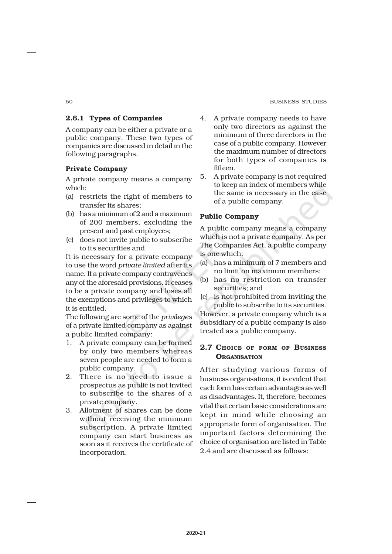#### 50 BUSINESS STUDIES

# 2.6.1 Types of Companies

A company can be either a private or a public company. These two types of companies are discussed in detail in the following paragraphs.

# Private Company

A private company means a company which:

- (a) restricts the right of members to transfer its shares;
- (b) has a minimum of 2 and a maximum of 200 members, excluding the present and past employees;
- (c) does not invite public to subscribe to its securities and

It is necessary for a private company to use the word *private limited* after its name. If a private company contravenes any of the aforesaid provisions, it ceases to be a private company and loses all the exemptions and privileges to which it is entitled.

The following are some of the *privileges* of a private limited company as against a public limited company:

- 1. A private company can be formed by only two members whereas seven people are needed to form a public company.
- 2. There is no need to issue a prospectus as public is not invited to subscribe to the shares of a private company.
- 3. Allotment of shares can be done without receiving the minimum subscription. A private limited company can start business as soon as it receives the certificate of incorporation.
- 4. A private company needs to have only two directors as against the minimum of three directors in the case of a public company. However the maximum number of directors for both types of companies is fifteen.
- 5. A private company is not required to keep an index of members while the same is necessary in the case of a public company.

# Public Company

A public company means a company which is not a private company. As per The Companies Act, a public company is one which:

- (a) has a minimum of 7 members and no limit on maximum members;
- (b) has no restriction on transfer securities; and
- (c) is not prohibited from inviting the public to subscribe to its securities.

However, a private company which is a subsidiary of a public company is also treated as a public company.

# 2.7 CHOICE OF FORM OF BUSINESS **ORGANISATION**

After studying various forms of business organisations, it is evident that each form has certain advantages as well as disadvantages. It, therefore, becomes vital that certain basic considerations are kept in mind while choosing an appropriate form of organisation. The important factors determining the choice of organisation are listed in Table 2.4 and are discussed as follows: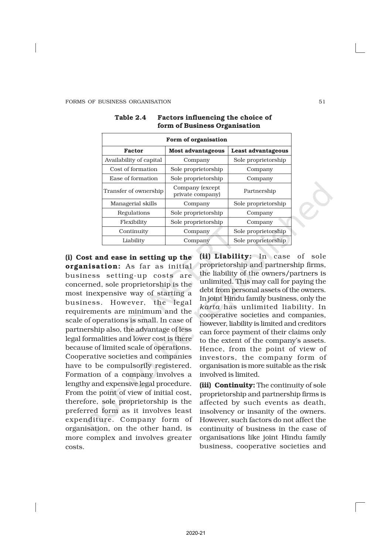| Form of organisation    |                                     |                     |  |  |
|-------------------------|-------------------------------------|---------------------|--|--|
| <b>Factor</b>           | Most advantageous                   | Least advantageous  |  |  |
| Availability of capital | Company                             | Sole proprietorship |  |  |
| Cost of formation       | Sole proprietorship                 | Company             |  |  |
| Ease of formation       | Sole proprietorship                 | Company             |  |  |
| Transfer of ownership   | Company (except<br>private company) | Partnership         |  |  |
| Managerial skills       | Company                             | Sole proprietorship |  |  |
| Regulations             | Sole proprietorship                 | Company             |  |  |
| Flexibility             | Sole proprietorship                 | Company             |  |  |
| Continuity              | Company                             | Sole proprietorship |  |  |
| Liability               | Company                             | Sole proprietorship |  |  |
|                         |                                     |                     |  |  |

### Table 2.4 Factors influencing the choice of form of Business Organisation

(i) Cost and ease in setting up the organisation: As far as initial business setting-up costs are concerned, sole proprietorship is the most inexpensive way of starting a business. However, the legal requirements are minimum and the scale of operations is small. In case of partnership also, the advantage of less legal formalities and lower cost is there because of limited scale of operations. Cooperative societies and companies have to be compulsorily registered. Formation of a company involves a lengthy and expensive legal procedure. From the point of view of initial cost, therefore, sole proprietorship is the preferred form as it involves least expenditure. Company form of organisation, on the other hand, is more complex and involves greater costs.

(ii) Liability: In case of sole proprietorship and partnership firms, the liability of the owners/partners is unlimited. This may call for paying the debt from personal assets of the owners. In joint Hindu family business, only the *karta* has unlimited liability. In cooperative societies and companies, however, liability is limited and creditors can force payment of their claims only to the extent of the company's assets. Hence, from the point of view of investors, the company form of organisation is more suitable as the risk involved is limited.

(iii) Continuity: The continuity of sole proprietorship and partnership firms is affected by such events as death, insolvency or insanity of the owners. However, such factors do not affect the continuity of business in the case of organisations like joint Hindu family business, cooperative societies and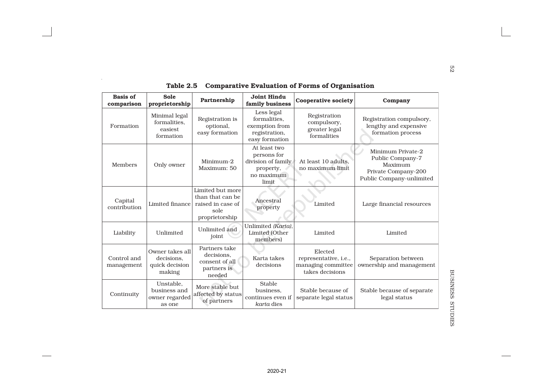| <b>Basis of</b><br>comparison | <b>Sole</b><br>proprietorship                             | Partnership                                                                         | <b>Joint Hindu</b><br>family business                                                 | <b>Cooperative society</b>                                                | Company                                                                                             |
|-------------------------------|-----------------------------------------------------------|-------------------------------------------------------------------------------------|---------------------------------------------------------------------------------------|---------------------------------------------------------------------------|-----------------------------------------------------------------------------------------------------|
| Formation                     | Minimal legal<br>formalities,<br>easiest<br>formation     | Registration is<br>optional,<br>easy formation                                      | Less legal<br>formalities,<br>exemption from<br>registration,<br>easy formation       | Registration<br>compulsory,<br>greater legal<br>formalities               | Registration compulsory,<br>lengthy and expensive<br>formation process                              |
| Members                       | Only owner                                                | Minimum-2<br>Maximum: 50                                                            | At least two<br>persons for<br>division of family<br>property,<br>no maximum<br>limit | At least 10 adults,<br>no maximum limit                                   | Minimum Private-2<br>Public Company-7<br>Maximum<br>Private Company-200<br>Public Company-unlimited |
| Capital<br>contribution       | Limited finance                                           | Limited but more<br>than that can be<br>raised in case of<br>sole<br>proprietorship | Ancestral<br>property                                                                 | Limited                                                                   | Large financial resources                                                                           |
| Liability                     | Unlimited                                                 | Unlimited and<br>joint                                                              | Unlimited (Karta),<br>Limited (Other<br>members)                                      | Limited                                                                   | Limited                                                                                             |
| Control and<br>management     | Owner takes all<br>decisions.<br>quick decision<br>making | Partners take<br>decisions.<br>consent of all<br>partners is<br>needed              | Karta takes<br>decisions                                                              | Elected<br>representative, i.e.,<br>managing committee<br>takes decisions | Separation between<br>ownership and management                                                      |
| Continuity                    | Unstable,<br>business and<br>owner regarded<br>as one     | More stable but<br>affected by status<br>of partners                                | <b>Stable</b><br>business.<br>continues even if<br>karta dies                         | Stable because of<br>separate legal status                                | Stable because of separate<br>legal status                                                          |

 $\sim$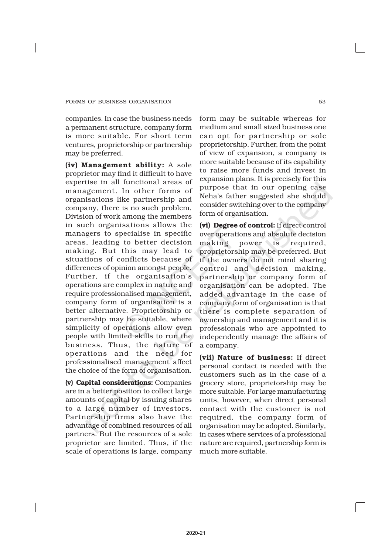companies. In case the business needs a permanent structure, company form is more suitable. For short term ventures, proprietorship or partnership may be preferred.

(iv) Management ability: A sole proprietor may find it difficult to have expertise in all functional areas of management. In other forms of organisations like partnership and company, there is no such problem. Division of work among the members in such organisations allows the managers to specialise in specific areas, leading to better decision making. But this may lead to situations of conflicts because of differences of opinion amongst people. Further, if the organisation's operations are complex in nature and require professionalised management, company form of organisation is a better alternative. Proprietorship or partnership may be suitable, where simplicity of operations allow even people with limited skills to run the business. Thus, the nature of operations and the need for professionalised management affect the choice of the form of organisation.

(v) Capital considerations: Companies are in a better position to collect large amounts of capital by issuing shares to a large number of investors. Partnership firms also have the advantage of combined resources of all partners. But the resources of a sole proprietor are limited. Thus, if the scale of operations is large, company form may be suitable whereas for medium and small sized business one can opt for partnership or sole proprietorship. Further, from the point of view of expansion, a company is more suitable because of its capability to raise more funds and invest in expansion plans. It is precisely for this purpose that in our opening case Neha's father suggested she should consider switching over to the company form of organisation.

(vi) Degree of control: If direct control over operations and absolute decision making power is required, proprietorship may be preferred. But if the owners do not mind sharing control and decision making, partnership or company form of organisation can be adopted. The added advantage in the case of company form of organisation is that there is complete separation of ownership and management and it is professionals who are appointed to independently manage the affairs of a company.

(vii) Nature of business: If direct personal contact is needed with the customers such as in the case of a grocery store, proprietorship may be more suitable. For large manufacturing units, however, when direct personal contact with the customer is not required, the company form of organisation may be adopted. Similarly, in cases where services of a professional nature are required, partnership form is much more suitable.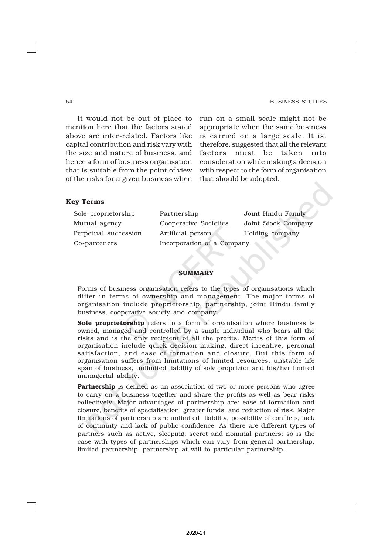It would not be out of place to mention here that the factors stated above are inter-related. Factors like capital contribution and risk vary with the size and nature of business, and hence a form of business organisation that is suitable from the point of view of the risks for a given business when run on a small scale might not be appropriate when the same business is carried on a large scale. It is, therefore, suggested that all the relevant factors must be taken into consideration while making a decision with respect to the form of organisation that should be adopted.

### Key Terms

Sole proprietorship Partnership Doint Hindu Family Mutual agency Cooperative Societies Joint Stock Company Perpetual succession Artificial person Holding company Co-parceners Incorporation of a Company

### **SUMMARY**

Forms of business organisation refers to the types of organisations which differ in terms of ownership and management. The major forms of organisation include proprietorship, partnership, joint Hindu family business, cooperative society and company.

Sole proprietorship refers to a form of organisation where business is owned, managed and controlled by a single individual who bears all the risks and is the only recipient of all the profits. Merits of this form of organisation include quick decision making, direct incentive, personal satisfaction, and ease of formation and closure. But this form of organisation suffers from limitations of limited resources, unstable life span of business, unlimited liability of sole proprietor and his/her limited managerial ability.

**Partnership** is defined as an association of two or more persons who agree to carry on a business together and share the profits as well as bear risks collectively. Major advantages of partnership are: ease of formation and closure, benefits of specialisation, greater funds, and reduction of risk. Major limitations of partnership are unlimited liability, possibility of conflicts, lack of continuity and lack of public confidence. As there are different types of partners such as active, sleeping, secret and nominal partners; so is the case with types of partnerships which can vary from general partnership, limited partnership, partnership at will to particular partnership.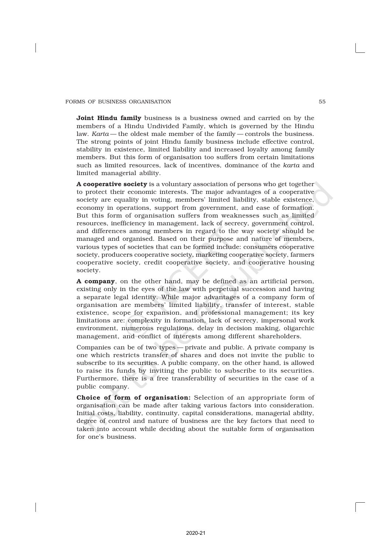**Joint Hindu family** business is a business owned and carried on by the members of a Hindu Undivided Family, which is governed by the Hindu law. *Karta* — the oldest male member of the family — controls the business. The strong points of joint Hindu family business include effective control, stability in existence, limited liability and increased loyalty among family members. But this form of organisation too suffers from certain limitations such as limited resources, lack of incentives, dominance of the *karta* and limited managerial ability.

A cooperative society is a voluntary association of persons who get together to protect their economic interests. The major advantages of a cooperative society are equality in voting, members' limited liability, stable existence, economy in operations, support from government, and ease of formation. But this form of organisation suffers from weaknesses such as limited resources, inefficiency in management, lack of secrecy, government control, and differences among members in regard to the way society should be managed and organised. Based on their purpose and nature of members, various types of societies that can be formed include: consumers cooperative society, producers cooperative society, marketing cooperative society, farmers cooperative society, credit cooperative society, and cooperative housing society.

A company, on the other hand, may be defined as an artificial person, existing only in the eyes of the law with perpetual succession and having a separate legal identity. While major advantages of a company form of organisation are members' limited liability, transfer of interest, stable existence, scope for expansion, and professional management; its key limitations are: complexity in formation, lack of secrecy, impersonal work environment, numerous regulations, delay in decision making, oligarchic management, and conflict of interests among different shareholders.

Companies can be of two types — private and public. A private company is one which restricts transfer of shares and does not invite the public to subscribe to its securities. A public company, on the other hand, is allowed to raise its funds by inviting the public to subscribe to its securities. Furthermore, there is a free transferability of securities in the case of a public company.

Choice of form of organisation: Selection of an appropriate form of organisation can be made after taking various factors into consideration. Initial costs, liability, continuity, capital considerations, managerial ability, degree of control and nature of business are the key factors that need to taken into account while deciding about the suitable form of organisation for one's business.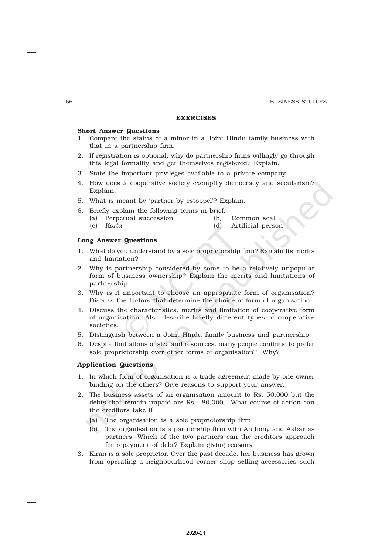#### EXERCISES

#### Short Answer Questions

- 1. Compare the status of a minor in a Joint Hindu family business with that in a partnership firm.
- 2. If registration is optional, why do partnership firms willingly go through this legal formality and get themselves registered? Explain.
- 3. State the important privileges available to a private company.
- 4. How does a cooperative society exemplify democracy and secularism? Explain.
- 5. What is meant by 'partner by estoppel'? Explain.
- 6. Briefly explain the following terms in brief.
	- (a) Perpetual succession (b) Common seal
		- (c) *Karta* (d) Artificial person
- 

### Long Answer Questions

- 1. What do you understand by a sole proprietorship firm? Explain its merits and limitation?
- 2. Why is partnership considered by some to be a relatively unpopular form of business ownership? Explain the merits and limitations of partnership.
- 3. Why is it important to choose an appropriate form of organisation? Discuss the factors that determine the choice of form of organisation.
- 4. Discuss the characteristics, merits and limitation of cooperative form of organisation. Also describe briefly different types of cooperative societies.
- 5. Distinguish between a Joint Hindu family business and partnership.
- 6. Despite limitations of size and resources, many people continue to prefer sole proprietorship over other forms of organisation? Why?

#### Application Questions

- 1. In which form of organisation is a trade agreement made by one owner binding on the others? Give reasons to support your answer.
- 2. The business assets of an organisation amount to Rs. 50,000 but the debts that remain unpaid are Rs. 80,000. What course of action can the creditors take if
	- (a) The organisation is a sole proprietorship firm
	- (b) The organisation is a partnership firm with Anthony and Akbar as partners. Which of the two partners can the creditors approach for repayment of debt? Explain giving reasons
- 3. Kiran is a sole proprietor. Over the past decade, her business has grown from operating a neighbourhood corner shop selling accessories such